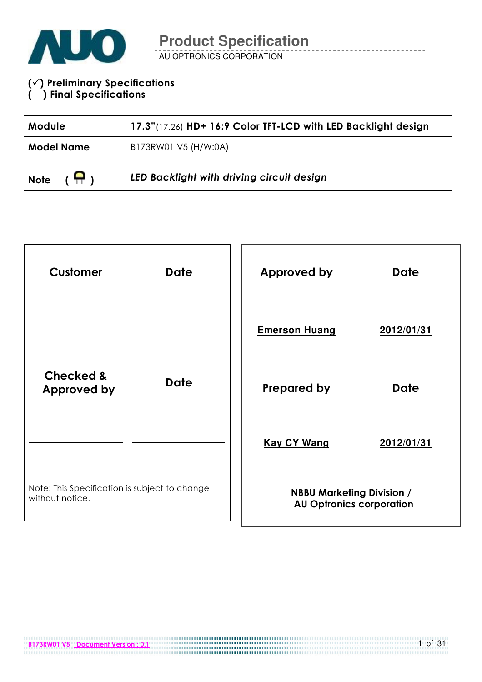

#### $(\checkmark)$  Preliminary Specifications ( ) Final Specifications

| <b>Module</b>                | 17.3"(17.26) HD+ 16:9 Color TFT-LCD with LED Backlight design |  |  |  |
|------------------------------|---------------------------------------------------------------|--|--|--|
| <b>Model Name</b>            | B173RW01 V5 (H/W:0A)                                          |  |  |  |
| $(\bigoplus)$<br><b>Note</b> | LED Backlight with driving circuit design                     |  |  |  |

| <b>Customer</b>                                                  | <b>Date</b>                                                         | Approved by          | <b>Date</b> |
|------------------------------------------------------------------|---------------------------------------------------------------------|----------------------|-------------|
|                                                                  |                                                                     | <b>Emerson Huang</b> | 2012/01/31  |
| <b>Checked &amp;</b><br><b>Approved by</b>                       | <b>Date</b>                                                         | <b>Prepared by</b>   | <b>Date</b> |
|                                                                  |                                                                     | <b>Kay CY Wang</b>   | 2012/01/31  |
| Note: This Specification is subject to change<br>without notice. | <b>NBBU Marketing Division /</b><br><b>AU Optronics corporation</b> |                      |             |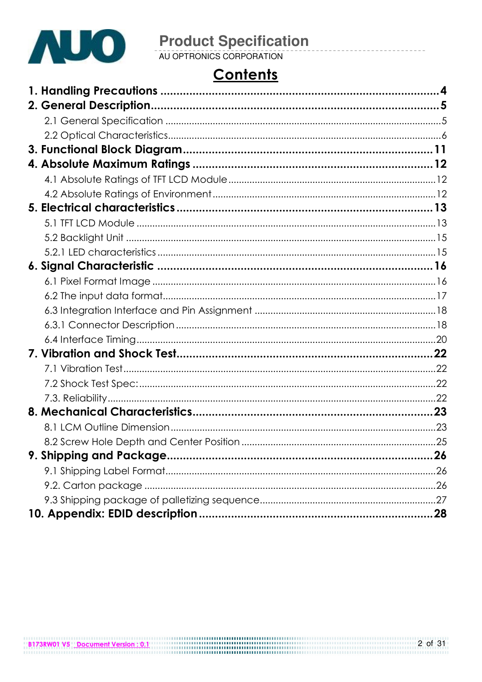

# **Contents**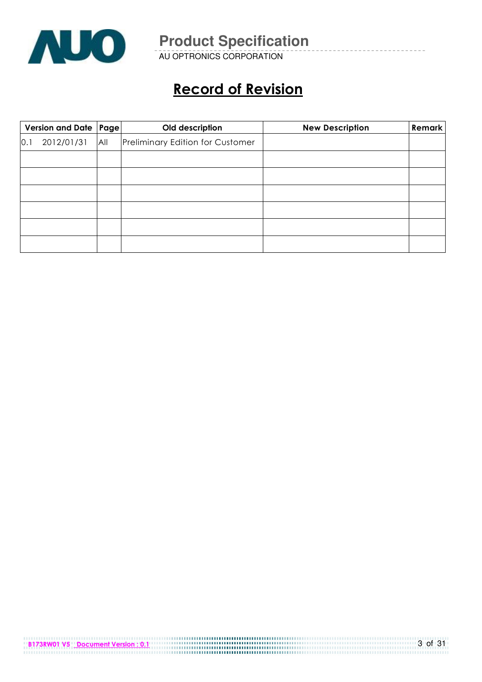

AU OPTRONICS CORPORATION

# Record of Revision

|     | Version and Date   Page |     | Old description                         | <b>New Description</b> | <b>Remark</b> |
|-----|-------------------------|-----|-----------------------------------------|------------------------|---------------|
| 0.1 | 2012/01/31              | All | <b>Preliminary Edition for Customer</b> |                        |               |
|     |                         |     |                                         |                        |               |
|     |                         |     |                                         |                        |               |
|     |                         |     |                                         |                        |               |
|     |                         |     |                                         |                        |               |
|     |                         |     |                                         |                        |               |
|     |                         |     |                                         |                        |               |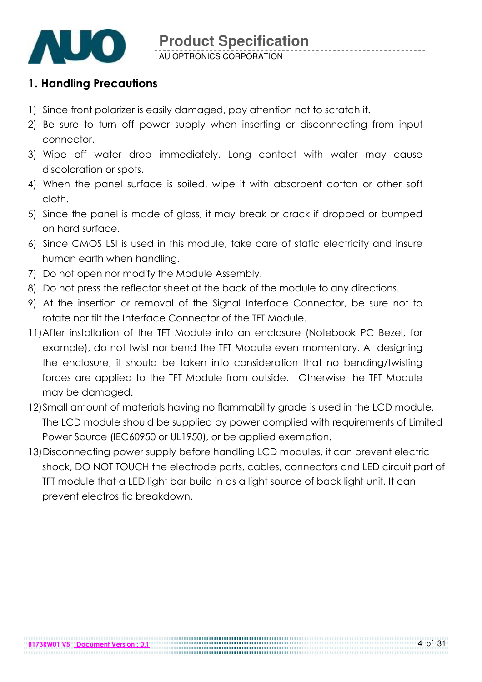

### 1. Handling Precautions

- 1) Since front polarizer is easily damaged, pay attention not to scratch it.
- 2) Be sure to turn off power supply when inserting or disconnecting from input connector.
- 3) Wipe off water drop immediately. Long contact with water may cause discoloration or spots.
- 4) When the panel surface is soiled, wipe it with absorbent cotton or other soft cloth.
- 5) Since the panel is made of glass, it may break or crack if dropped or bumped on hard surface.
- 6) Since CMOS LSI is used in this module, take care of static electricity and insure human earth when handling.
- 7) Do not open nor modify the Module Assembly.
- 8) Do not press the reflector sheet at the back of the module to any directions.
- 9) At the insertion or removal of the Signal Interface Connector, be sure not to rotate nor tilt the Interface Connector of the TFT Module.
- 11) After installation of the TFT Module into an enclosure (Notebook PC Bezel, for example), do not twist nor bend the TFT Module even momentary. At designing the enclosure, it should be taken into consideration that no bending/twisting forces are applied to the TFT Module from outside. Otherwise the TFT Module may be damaged.
- 12)Small amount of materials having no flammability grade is used in the LCD module. The LCD module should be supplied by power complied with requirements of Limited Power Source (IEC60950 or UL1950), or be applied exemption.
- 13)Disconnecting power supply before handling LCD modules, it can prevent electric shock, DO NOT TOUCH the electrode parts, cables, connectors and LED circuit part of TFT module that a LED light bar build in as a light source of back light unit. It can prevent electros tic breakdown.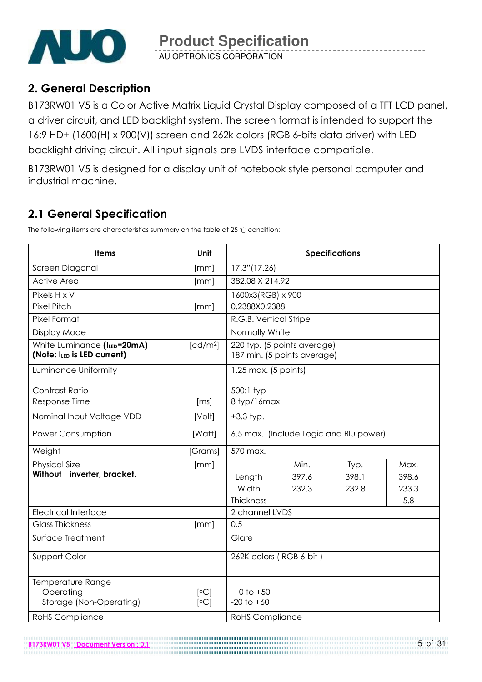

### 2. General Description

B173RW01 V5 is a Color Active Matrix Liquid Crystal Display composed of a TFT LCD panel, a driver circuit, and LED backlight system. The screen format is intended to support the 16:9 HD+ (1600(H) x 900(V)) screen and 262k colors (RGB 6-bits data driver) with LED backlight driving circuit. All input signals are LVDS interface compatible.

B173RW01 V5 is designed for a display unit of notebook style personal computer and industrial machine.

### 2.1 General Specification

The following items are characteristics summary on the table at 25  $\degree$ C condition:

B173RW01 V5 Document Version : 0.1

| <b>Items</b>                                               | Unit                 | <b>Specifications</b>          |                                                            |       |       |  |
|------------------------------------------------------------|----------------------|--------------------------------|------------------------------------------------------------|-------|-------|--|
| Screen Diagonal                                            | [mm]                 | 17.3"(17.26)                   |                                                            |       |       |  |
| <b>Active Area</b>                                         | [mm]                 | 382.08 X 214.92                |                                                            |       |       |  |
| Pixels H x V                                               |                      | 1600x3(RGB) x 900              |                                                            |       |       |  |
| <b>Pixel Pitch</b>                                         | [mm]                 | 0.2388X0.2388                  |                                                            |       |       |  |
| Pixel Format                                               |                      | R.G.B. Vertical Stripe         |                                                            |       |       |  |
| Display Mode                                               |                      | Normally White                 |                                                            |       |       |  |
| White Luminance (ILED=20mA)<br>(Note: ILED is LED current) | [cd/m <sup>2</sup> ] |                                | 220 typ. (5 points average)<br>187 min. (5 points average) |       |       |  |
| Luminance Uniformity                                       |                      | 1.25 max. (5 points)           |                                                            |       |       |  |
| Contrast Ratio                                             |                      | 500:1 typ                      |                                                            |       |       |  |
| Response Time                                              | [ms]                 | 8 typ/16max                    |                                                            |       |       |  |
| Nominal Input Voltage VDD                                  | [Volt]               | $+3.3$ typ.                    |                                                            |       |       |  |
| <b>Power Consumption</b>                                   | [Watt]               |                                | 6.5 max. (Include Logic and Blu power)                     |       |       |  |
| Weight                                                     | [Grams]              | 570 max.                       |                                                            |       |       |  |
| <b>Physical Size</b>                                       | [mm]                 |                                | Min.                                                       | Typ.  | Max.  |  |
| Without inverter, bracket.                                 |                      | Length                         | 397.6                                                      | 398.1 | 398.6 |  |
|                                                            |                      | Width                          | 232.3                                                      | 232.8 | 233.3 |  |
|                                                            |                      | Thickness                      |                                                            |       | 5.8   |  |
| <b>Electrical Interface</b>                                |                      | 2 channel LVDS                 |                                                            |       |       |  |
| <b>Glass Thickness</b>                                     | [mm]                 | 0.5                            |                                                            |       |       |  |
| Surface Treatment                                          |                      | Glare                          |                                                            |       |       |  |
| Support Color                                              |                      | 262K colors (RGB 6-bit)        |                                                            |       |       |  |
| Temperature Range<br>Operating<br>Storage (Non-Operating)  | [°C]<br>[°C]         | $0$ to $+50$<br>$-20$ to $+60$ |                                                            |       |       |  |
| <b>RoHS Compliance</b>                                     |                      | <b>RoHS</b> Compliance         |                                                            |       |       |  |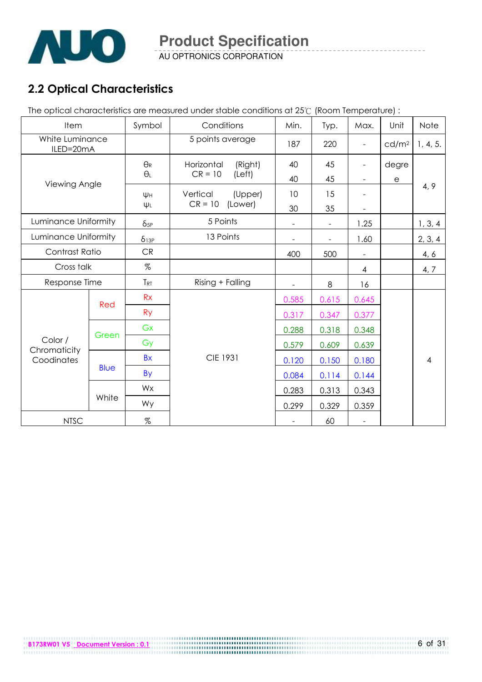

AU OPTRONICS CORPORATION

## 2.2 Optical Characteristics

The optical characteristics are measured under stable conditions at 25°C (Room Temperature) :

| Item                         |             | Symbol                | Conditions            | Min.           | Typ.                     | Max.                     | Unit              | Note     |
|------------------------------|-------------|-----------------------|-----------------------|----------------|--------------------------|--------------------------|-------------------|----------|
| White Luminance<br>ILED=20mA |             |                       | 5 points average      | 187            | 220                      | $\overline{\phantom{a}}$ | cd/m <sup>2</sup> | 1, 4, 5. |
|                              |             | $\Theta_{\mathsf{R}}$ | Horizontal<br>(Right) | 40             | 45                       |                          | degre             |          |
| Viewing Angle                |             | $\Theta_L$            | $CR = 10$<br>(Left)   | 40             | 45                       | $\overline{\phantom{a}}$ | $\mathsf{e}$      |          |
|                              |             | Ψн                    | Vertical<br>(Upper)   | 10             | 15                       |                          |                   | 4, 9     |
|                              |             | $\Psi L$              | $CR = 10$<br>(Lower)  | 30             | 35                       |                          |                   |          |
| Luminance Uniformity         |             | $\delta$ 5P           | 5 Points              | $\blacksquare$ | $\overline{\phantom{a}}$ | 1.25                     |                   | 1, 3, 4  |
| Luminance Uniformity         |             | $\delta$ 13P          | 13 Points             |                | $\overline{\phantom{0}}$ | 1.60                     |                   | 2, 3, 4  |
| Contrast Ratio               |             | <b>CR</b>             |                       | 400            | 500                      | $\overline{a}$           |                   | 4, 6     |
| Cross talk                   |             | $\%$                  |                       |                |                          | $\overline{4}$           |                   | 4, 7     |
| Response Time                |             | TRT                   | Rising + Falling      | Ξ.             | 8                        | 16                       |                   |          |
|                              |             | Rx                    |                       | 0.585          | 0.615                    | 0.645                    |                   |          |
|                              | Red         | <b>Ry</b>             |                       | 0.317          | 0.347                    | 0.377                    |                   |          |
|                              |             | Gx                    |                       | 0.288          | 0.318                    | 0.348                    |                   |          |
| Color /                      | Green       | Gy                    |                       | 0.579          | 0.609                    | 0.639                    |                   |          |
| Chromaticity<br>Coodinates   |             | <b>Bx</b>             | <b>CIE 1931</b>       | 0.120          | 0.150                    | 0.180                    |                   | 4        |
|                              | <b>Blue</b> | By                    |                       | 0.084          | 0.114                    | 0.144                    |                   |          |
|                              |             | Wx                    |                       | 0.283          | 0.313                    | 0.343                    |                   |          |
|                              | White       | Wy                    |                       | 0.299          | 0.329                    | 0.359                    |                   |          |
| <b>NTSC</b>                  |             | $\%$                  |                       |                | 60                       | $\frac{1}{2}$            |                   |          |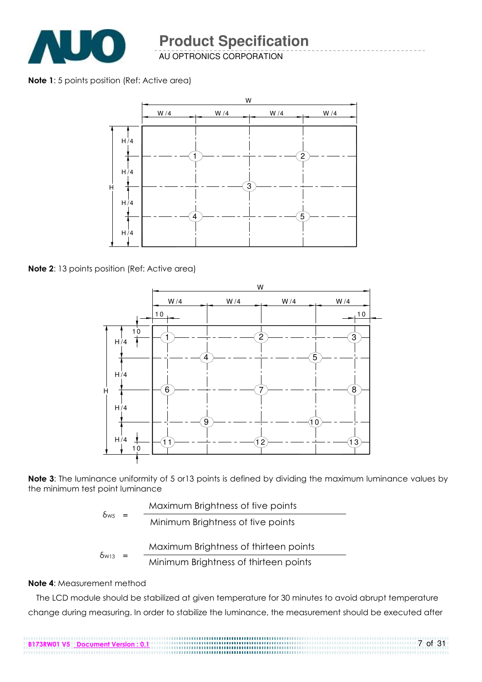

AU OPTRONICS CORPORATION

Note 1: 5 points position (Ref: Active area)



Note 2: 13 points position (Ref: Active area)



Note 3: The luminance uniformity of 5 or 13 points is defined by dividing the maximum luminance values by the minimum test point luminance

|                         | Maximum Brightness of five points     |
|-------------------------|---------------------------------------|
| $\delta$ ws<br>$=$      | Minimum Brightness of five points     |
|                         | Maximum Brightness of thirteen points |
| $\delta$ <sub>W13</sub> |                                       |

$$
V_{13} = \frac{1}{\text{Minimum Briggs of thirteen points}}
$$

#### Note 4: Measurement method

The LCD module should be stabilized at given temperature for 30 minutes to avoid abrupt temperature change during measuring. In order to stabilize the luminance, the measurement should be executed after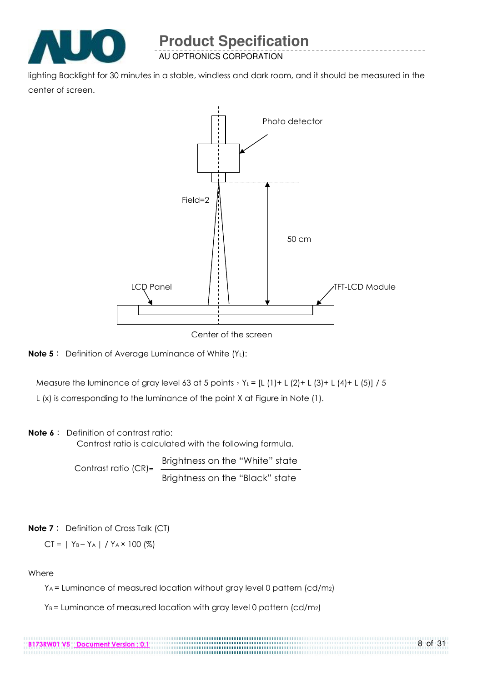

lighting Backlight for 30 minutes in a stable, windless and dark room, and it should be measured in the center of screen.



Center of the screen



Measure the luminance of gray level 63 at 5 points  $Y_L = [L (1) + L (2) + L (3) + L (4) + L (5)] / 5$ 

L (x) is corresponding to the luminance of the point X at Figure in Note (1).

#### Note 6: Definition of contrast ratio:

Contrast ratio is calculated with the following formula.

Contrast ratio  $(CR)$ =  $\frac{Brightness on the "White" state}{P}$ Brightness on the "Black" state

Note 7: Definition of Cross Talk (CT)

 $CI = | Y_B - Y_A | / Y_A \times 100 (%)$ 

**Where** 

YA = Luminance of measured location without gray level 0 pattern (cd/m2)

...................................

 $Y_B$  = Luminance of measured location with gray level 0 pattern (cd/m<sub>2</sub>)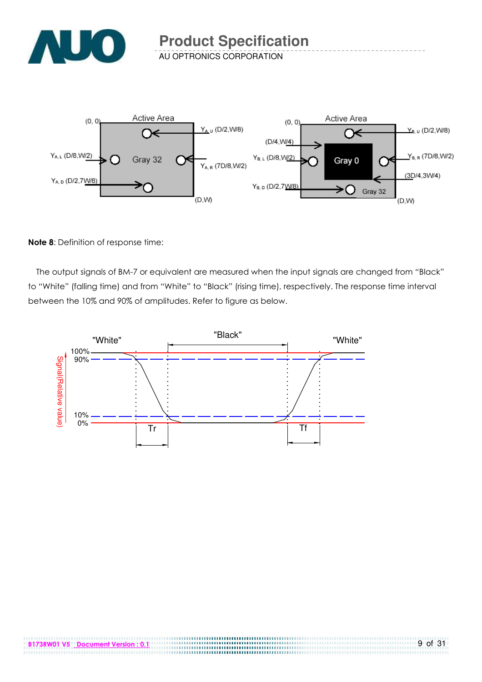



#### Note 8: Definition of response time:

The output signals of BM-7 or equivalent are measured when the input signals are changed from "Black" to "White" (falling time) and from "White" to "Black" (rising time), respectively. The response time interval between the 10% and 90% of amplitudes. Refer to figure as below.



....................................

.............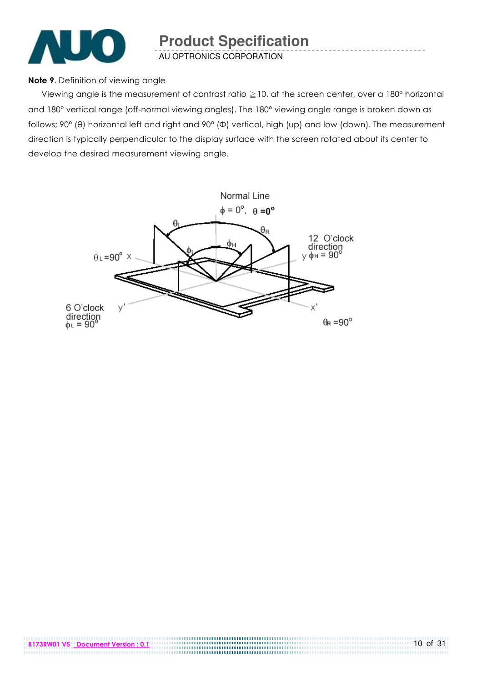

#### Note 9. Definition of viewing angle

Viewing angle is the measurement of contrast ratio  $\geq$  10, at the screen center, over a 180° horizontal and 180° vertical range (off-normal viewing angles). The 180° viewing angle range is broken down as follows; 90° (θ) horizontal left and right and 90° (Φ) vertical, high (up) and low (down). The measurement direction is typically perpendicular to the display surface with the screen rotated about its center to develop the desired measurement viewing angle.

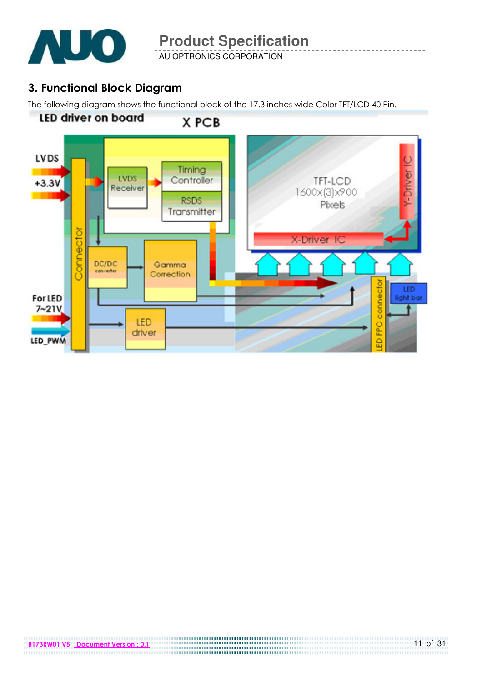

AU OPTRONICS CORPORATION

### 3. Functional Block Diagram

The following diagram shows the functional block of the 17.3 inches wide Color TFT/LCD 40 Pin.

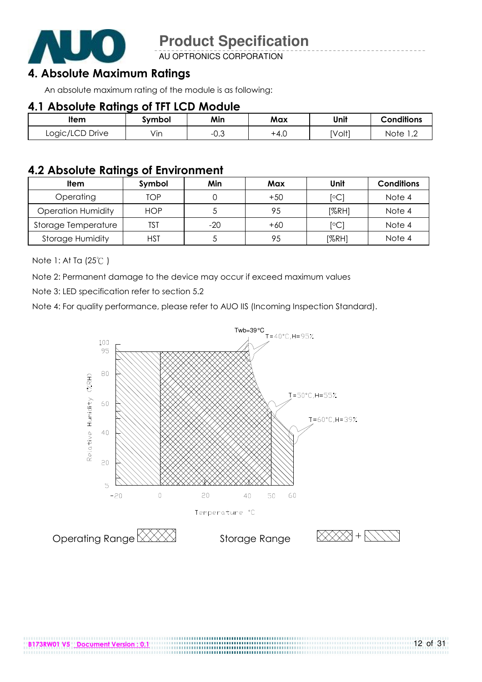

AU OPTRONICS CORPORATION

### 4. Absolute Maximum Ratings

An absolute maximum rating of the module is as following:

### 4.1 Absolute Ratings of TFT LCD Module

| ltem            | Svmbol | Min         | Max  | Unit   | <b>Conditions</b>   |
|-----------------|--------|-------------|------|--------|---------------------|
| Logic/LCD Drive | Vın    | ∩ ≏<br>−∪.∪ | +4.⊾ | [Volt] | Notel<br>$\sqrt{2}$ |

### 4.2 Absolute Ratings of Environment

| Item                      | Symbol     | Min   | Max   | Unit  | <b>Conditions</b> |
|---------------------------|------------|-------|-------|-------|-------------------|
| Operating                 | TOP        |       | $+50$ | [°C]  | Note 4            |
| <b>Operation Humidity</b> | <b>HOP</b> |       | 95    | [%RH] | Note 4            |
| Storage Temperature       | TST        | $-20$ | $+60$ | [°C]  | Note 4            |
| <b>Storage Humidity</b>   | HST        |       | 95    | [%RH] | Note 4            |

Note 1: At Ta (25°C)

Note 2: Permanent damage to the device may occur if exceed maximum values

Note 3: LED specification refer to section 5.2

Note 4: For quality performance, please refer to AUO IIS (Incoming Inspection Standard).



.....................................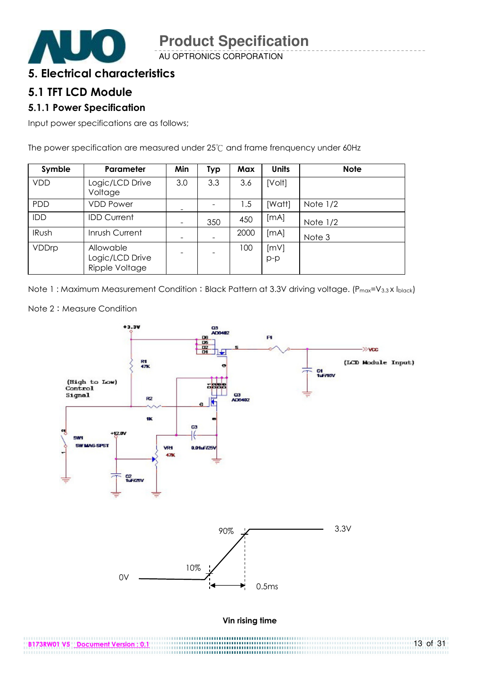

AU OPTRONICS CORPORATION

### 5. Electrical characteristics

### 5.1 TFT LCD Module

#### 5.1.1 Power Specification

Input power specifications are as follows;

The power specification are measured under 25°C and frame frenquency under 60Hz

| Symble     | Parameter                                      | Min            | <b>Typ</b> | Max  | <b>Units</b>  | <b>Note</b> |
|------------|------------------------------------------------|----------------|------------|------|---------------|-------------|
| <b>VDD</b> | Logic/LCD Drive<br>Voltage                     | 3.0            | 3.3        | 3.6  | [Volt]        |             |
| PDD        | <b>VDD Power</b>                               |                |            | 1.5  | [Watt]        | Note $1/2$  |
| IDD        | <b>IDD Current</b>                             | $\overline{ }$ | 350        | 450  | [mA]          | Note $1/2$  |
| IRush      | Inrush Current                                 |                |            | 2000 | [mA]          | Note 3      |
| VDDrp      | Allowable<br>Logic/LCD Drive<br>Ripple Voltage |                |            | 100  | [mV]<br>$p-p$ |             |

Note 1: Maximum Measurement Condition: Black Pattern at 3.3V driving voltage. (Pmax=V3.3X Iblack)



.............

13 of 31

Note 2: Measure Condition

B173RW01 V5 Document Version : 0.1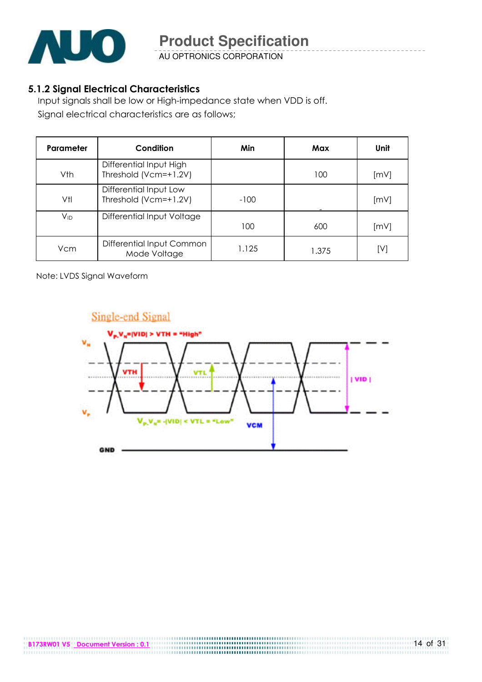

AU OPTRONICS CORPORATION

#### 5.1.2 Signal Electrical Characteristics

Input signals shall be low or High-impedance state when VDD is off. Signal electrical characteristics are as follows;

| Parameter | Condition                                        | Min    | Max   | <b>Unit</b> |
|-----------|--------------------------------------------------|--------|-------|-------------|
| Vth       | Differential Input High<br>Threshold (Vcm=+1.2V) |        | 100   | [mV]        |
| Vtl       | Differential Input Low<br>Threshold (Vcm=+1.2V)  | $-100$ |       | [mV]        |
| Vıd       | Differential Input Voltage                       | 100    | 600   | [mV]        |
| Vcm       | Differential Input Common<br>Mode Voltage        | 1.125  | 1.375 | [V]         |

Note: LVDS Signal Waveform

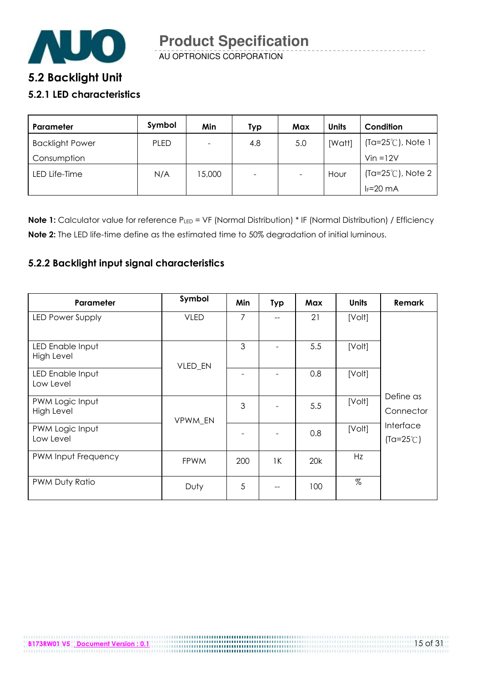

# 5.2 Backlight Unit

#### 5.2.1 LED characteristics

| Parameter              | Symbol      | Min                      | Typ                      | Max | <b>Units</b> | Condition                   |
|------------------------|-------------|--------------------------|--------------------------|-----|--------------|-----------------------------|
| <b>Backlight Power</b> | <b>PLED</b> | $\overline{\phantom{0}}$ | 4.8                      | 5.0 | [Watt]       | $(Ta=25^{\circ}C)$ , Note 1 |
| Consumption            |             |                          |                          |     |              | $Vin = 12V$                 |
| LED Life-Time          | N/A         | 5,000                    | $\overline{\phantom{a}}$ | -   | Hour         | $(Ta=25^{\circ}C)$ , Note 2 |
|                        |             |                          |                          |     |              | $I_F = 20$ mA               |

Note 1: Calculator value for reference PLED = VF (Normal Distribution) \* IF (Normal Distribution) / Efficiency Note 2: The LED life-time define as the estimated time to 50% degradation of initial luminous.

#### 5.2.2 Backlight input signal characteristics

| Parameter                            | Symbol      | Min | <b>Typ</b> | Max | <b>Units</b> | Remark                          |
|--------------------------------------|-------------|-----|------------|-----|--------------|---------------------------------|
| LED Power Supply                     | <b>VLED</b> | 7   |            | 21  | [Volt]       |                                 |
| LED Enable Input<br>High Level       | VLED_EN     | 3   |            | 5.5 | [Volt]       |                                 |
| LED Enable Input<br>Low Level        |             |     |            | 0.8 | [Volt]       |                                 |
| PWM Logic Input<br><b>High Level</b> | VPWM EN     | 3   |            | 5.5 | [Volt]       | Define as<br>Connector          |
| PWM Logic Input<br>Low Level         |             |     |            | 0.8 | [Volt]       | Interface<br>$(Ta=25^{\circ}C)$ |
| PWM Input Frequency                  | <b>FPWM</b> | 200 | 1K         | 20k | Hz           |                                 |
| PWM Duty Ratio                       | Duty        | 5   |            | 100 | %            |                                 |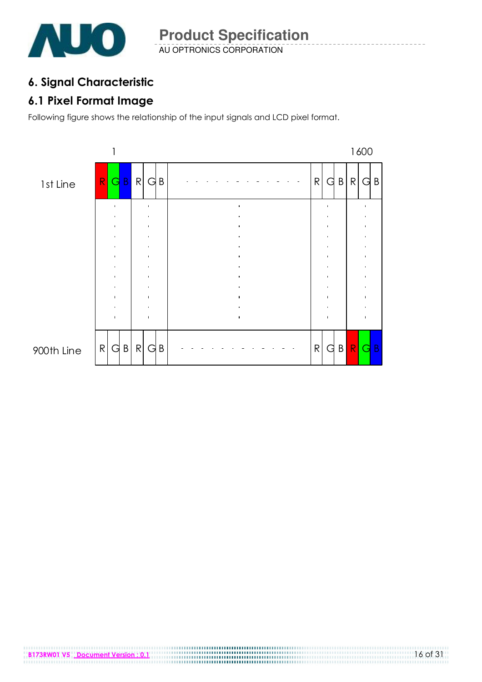

### 6. Signal Characteristic

### 6.1 Pixel Format Image

Following figure shows the relationship of the input signals and LCD pixel format.



#### 900th Line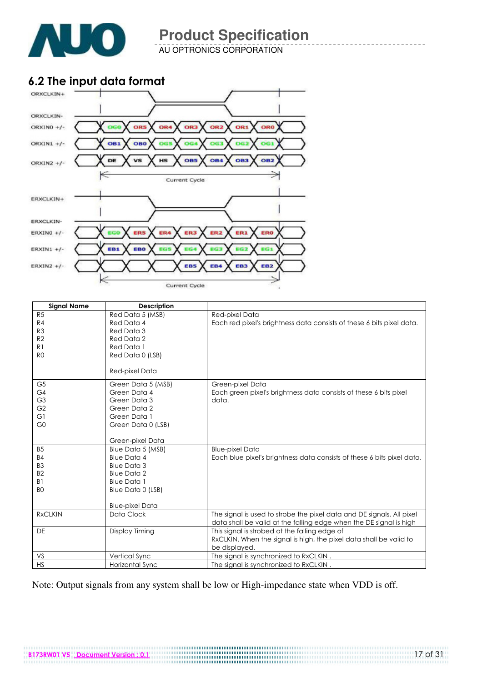

AU OPTRONICS CORPORATION

### 6.2 The input data format



| <b>Signal Name</b> | <b>Description</b>     |                                                                        |
|--------------------|------------------------|------------------------------------------------------------------------|
| R <sub>5</sub>     | Red Data 5 (MSB)       | Red-pixel Data                                                         |
| R4                 | Red Data 4             | Each red pixel's brightness data consists of these 6 bits pixel data.  |
| R <sub>3</sub>     | Red Data 3             |                                                                        |
| R2                 | Red Data 2             |                                                                        |
| R <sub>1</sub>     | Red Data 1             |                                                                        |
| R <sub>0</sub>     | Red Data 0 (LSB)       |                                                                        |
|                    |                        |                                                                        |
|                    | Red-pixel Data         |                                                                        |
| G <sub>5</sub>     | Green Data 5 (MSB)     | Green-pixel Data                                                       |
| G4                 | Green Data 4           | Each green pixel's brightness data consists of these 6 bits pixel      |
| G <sub>3</sub>     | Green Data 3           | data.                                                                  |
| G <sub>2</sub>     | Green Data 2           |                                                                        |
| G1                 | Green Data 1           |                                                                        |
| G <sub>0</sub>     | Green Data 0 (LSB)     |                                                                        |
|                    |                        |                                                                        |
|                    | Green-pixel Data       |                                                                        |
| <b>B5</b>          | Blue Data 5 (MSB)      | <b>Blue-pixel Data</b>                                                 |
| <b>B4</b>          | Blue Data 4            | Each blue pixel's brightness data consists of these 6 bits pixel data. |
| B <sub>3</sub>     | Blue Data 3            |                                                                        |
| B <sub>2</sub>     | <b>Blue Data 2</b>     |                                                                        |
| B1                 | <b>Blue Data 1</b>     |                                                                        |
| B <sub>O</sub>     | Blue Data 0 (LSB)      |                                                                        |
|                    |                        |                                                                        |
|                    | <b>Blue-pixel Data</b> |                                                                        |
| <b>RxCLKIN</b>     | Data Clock             | The signal is used to strobe the pixel data and DE signals. All pixel  |
|                    |                        | data shall be valid at the falling edge when the DE signal is high     |
| <b>DE</b>          | Display Timing         | This signal is strobed at the falling edge of                          |
|                    |                        | RxCLKIN. When the signal is high, the pixel data shall be valid to     |
|                    |                        | be displayed.                                                          |
| VS                 | Vertical Sync          | The signal is synchronized to RxCLKIN.                                 |
| <b>HS</b>          | Horizontal Sync        | The signal is synchronized to RxCLKIN.                                 |

Note: Output signals from any system shall be low or High-impedance state when VDD is off.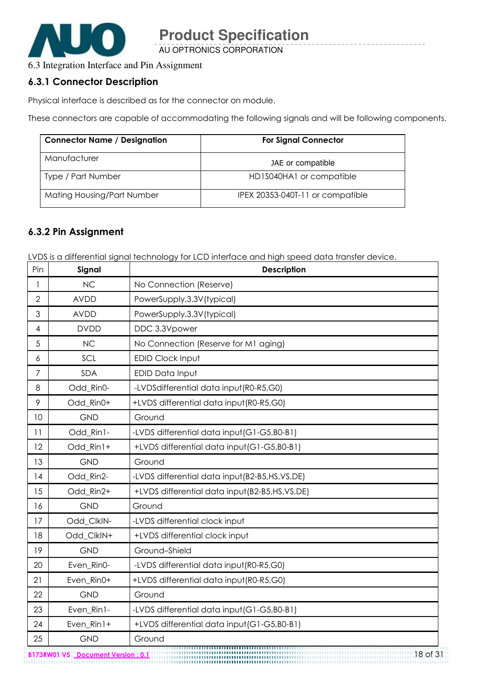

AU OPTRONICS CORPORATION

### 6.3 Integration Interface and Pin Assignment

#### 6.3.1 Connector Description

Physical interface is described as for the connector on module.

These connectors are capable of accommodating the following signals and will be following components.

| <b>Connector Name / Designation</b> | <b>For Signal Connector</b>      |  |  |
|-------------------------------------|----------------------------------|--|--|
| Manufacturer                        | JAE or compatible                |  |  |
| Type / Part Number                  | HD1S040HA1 or compatible         |  |  |
| Mating Housing/Part Number          | IPEX 20353-040T-11 or compatible |  |  |

#### 6.3.2 Pin Assignment

LVDS is a differential signal technology for LCD interface and high speed data transfer device.

| Pin            | Signal      | <b>Description</b>                                |
|----------------|-------------|---------------------------------------------------|
| $\mathbf{1}$   | <b>NC</b>   | No Connection (Reserve)                           |
| $\overline{2}$ | <b>AVDD</b> | PowerSupply, 3.3V (typical)                       |
| 3              | <b>AVDD</b> | PowerSupply, 3.3V (typical)                       |
| 4              | <b>DVDD</b> | DDC 3.3Vpower                                     |
| 5              | <b>NC</b>   | No Connection (Reserve for M1 aging)              |
| 6              | SCL         | <b>EDID Clock Input</b>                           |
| 7              | SDA         | EDID Data Input                                   |
| 8              | Odd_Rin0-   | -LVDSdifferential data input(R0-R5,G0)            |
| 9              | Odd_Rin0+   | +LVDS differential data input (R0-R5,G0)          |
| 10             | <b>GND</b>  | Ground                                            |
| 11             | Odd_Rin1-   | -LVDS differential data input (G1-G5, B0-B1)      |
| 12             | Odd_Rin1+   | +LVDS differential data input(G1-G5,B0-B1)        |
| 13             | <b>GND</b>  | Ground                                            |
| 14             | Odd_Rin2-   | -LVDS differential data input (B2-B5, HS, VS, DE) |
| 15             | Odd Rin2+   | +LVDS differential data input(B2-B5,HS,VS,DE)     |
| 16             | <b>GND</b>  | Ground                                            |
| 17             | Odd_ClkIN-  | -LVDS differential clock input                    |
| 18             | Odd_ClkIN+  | +LVDS differential clock input                    |
| 19             | <b>GND</b>  | Ground-Shield                                     |
| 20             | Even_Rin0-  | -LVDS differential data input(R0-R5,G0)           |
| 21             | Even_Rin0+  | +LVDS differential data input (R0-R5,G0)          |
| 22             | <b>GND</b>  | Ground                                            |
| 23             | Even_Rin1-  | -LVDS differential data input (G1-G5, B0-B1)      |
| 24             | Even_Rin1+  | +LVDS differential data input (G1-G5,B0-B1)       |
| 25             | <b>GND</b>  | Ground                                            |

B173RW01 V5 <u>Document Version : 0.1</u> 18 Of 31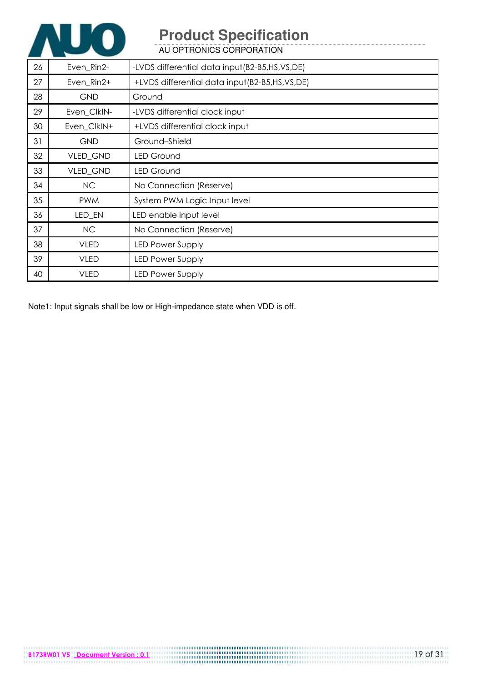

AU OPTRONICS CORPORATION

| 26 | Even_Rin2-  | -LVDS differential data input (B2-B5, HS, VS, DE) |
|----|-------------|---------------------------------------------------|
| 27 | Even_Rin2+  | +LVDS differential data input (B2-B5, HS, VS, DE) |
| 28 | <b>GND</b>  | Ground                                            |
| 29 | Even ClkIN- | -LVDS differential clock input                    |
| 30 | Even_ClkIN+ | +LVDS differential clock input                    |
| 31 | <b>GND</b>  | Ground-Shield                                     |
| 32 | VLED_GND    | <b>LED Ground</b>                                 |
| 33 | VLED_GND    | <b>LED Ground</b>                                 |
| 34 | <b>NC</b>   | No Connection (Reserve)                           |
| 35 | <b>PWM</b>  | System PWM Logic Input level                      |
| 36 | LED_EN      | LED enable input level                            |
| 37 | NC.         | No Connection (Reserve)                           |
| 38 | <b>VLED</b> | <b>LED Power Supply</b>                           |
| 39 | <b>VLED</b> | <b>LED Power Supply</b>                           |
| 40 | <b>VLED</b> | <b>LED Power Supply</b>                           |

Note1: Input signals shall be low or High-impedance state when VDD is off.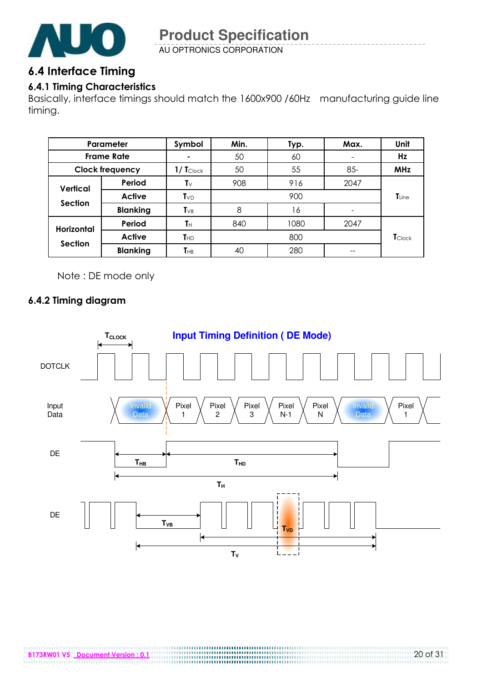

AU OPTRONICS CORPORATION

### 6.4 Interface Timing

#### 6.4.1 Timing Characteristics

Basically, interface timings should match the 1600x900 /60Hz manufacturing guide line timing.

|                              | Parameter              | Symbol                     | Min. | Typ. | Max.   | Unit           |
|------------------------------|------------------------|----------------------------|------|------|--------|----------------|
| <b>Frame Rate</b>            |                        |                            | 50   | 60   |        | Hz             |
|                              | <b>Clock frequency</b> | $1/$ $T_{\text{Clock}}$    | 50   | 55   | $85 -$ | <b>MHz</b>     |
| Vertical                     | Period                 | Tv                         | 908  | 916  | 2047   |                |
|                              | <b>Active</b>          | $T_{VD}$                   |      | 900  |        | <b>T</b> Line  |
| <b>Section</b>               | <b>Blanking</b>        | $T_{VB}$                   | 8    | 16   |        |                |
| <b>Horizontal</b><br>Section | Period                 | $T_H$                      | 840  | 1080 | 2047   |                |
|                              | <b>Active</b>          | $T_{HD}$                   |      | 800  |        | <b>T</b> Clock |
|                              | <b>Blanking</b>        | $\mathsf{T}_{\mathsf{HB}}$ | 40   | 280  | --     |                |

Note : DE mode only

#### 6.4.2 Timing diagram

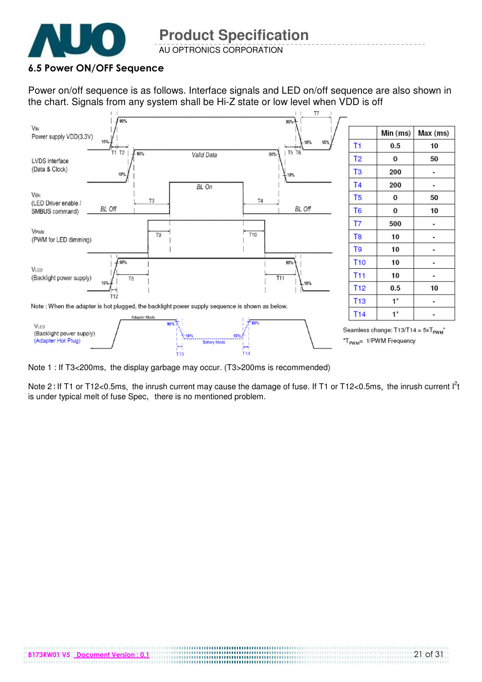

#### 6.5 Power ON/OFF Sequence

Power on/off sequence is as follows. Interface signals and LED on/off sequence are also shown in the chart. Signals from any system shall be Hi-Z state or low level when VDD is off



Note 1 : If T3<200ms, the display garbage may occur. (T3>200ms is recommended)

Note 2: If T1 or T12<0.5ms, the inrush current may cause the damage of fuse. If T1 or T12<0.5ms, the inrush current  $I<sup>2</sup>t$ is under typical melt of fuse Spec, there is no mentioned problem.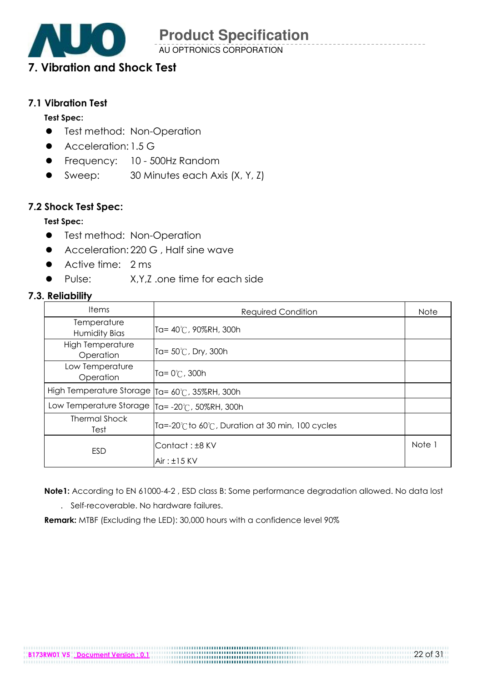

### 7. Vibration and Shock Test

#### 7.1 Vibration Test

#### Test Spec:

- **•** Test method: Non-Operation
- Acceleration: 1.5 G
- **•** Frequency: 10 500Hz Random
- Sweep: 30 Minutes each Axis (X, Y, Z)

#### 7.2 Shock Test Spec:

#### Test Spec:

- **•** Test method: Non-Operation
- Acceleration: 220 G, Half sine wave
- Active time: 2 ms
- ! Pulse: X,Y,Z .one time for each side

#### 7.3. Reliability

| <b>Items</b>                         | <b>Required Condition</b>                     | <b>Note</b> |
|--------------------------------------|-----------------------------------------------|-------------|
| Temperature<br><b>Humidity Bias</b>  | Ta= $40^{\circ}$ C, 90%RH, 300h               |             |
| <b>High Temperature</b><br>Operation | Ta= $50^{\circ}$ C, Dry, 300h                 |             |
| Low Temperature<br>Operation         | Ta= $0^{\circ}$ C, 300h                       |             |
| High Temperature Storage             | ITa= 60℃, 35%RH, 300h                         |             |
| Low Temperature Storage              | Ta= -20℃, 50%RH, 300h                         |             |
| Thermal Shock<br>Test                | Ta=-20℃to 60℃, Duration at 30 min, 100 cycles |             |
| <b>ESD</b>                           | Contact: ±8 KV<br>$Air: \pm 15$ KV            | Note 1      |

Note1: According to EN 61000-4-2 , ESD class B: Some performance degradation allowed. No data lost

. Self-recoverable. No hardware failures.

Remark: MTBF (Excluding the LED): 30,000 hours with a confidence level 90%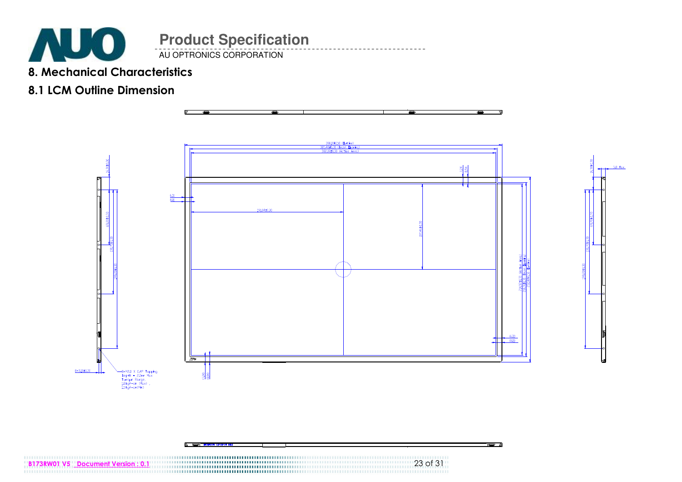

### 8. Mechanical Characteristics

### 8.1 LCM Outline Dimension





ہ د

B173RW01 V5 Document Version : 0.1 23 of 31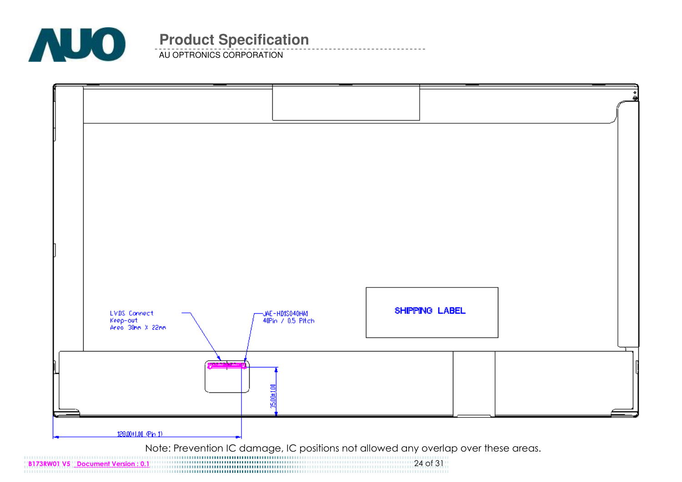

AU OPTRONICS CORPORATION

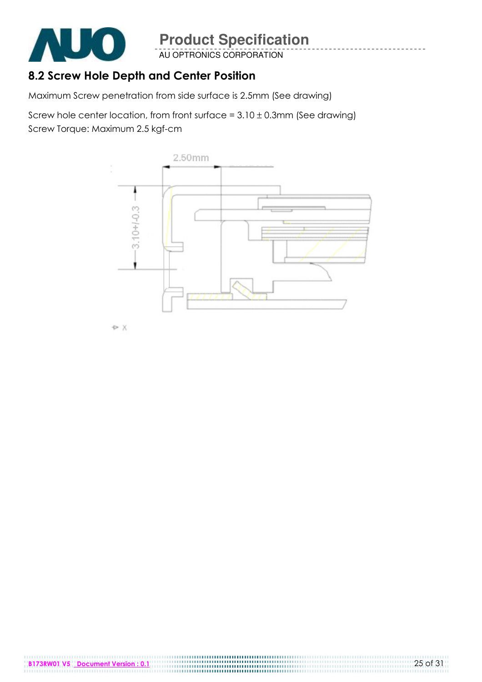

AU OPTRONICS CORPORATION

### 8.2 Screw Hole Depth and Center Position

Maximum Screw penetration from side surface is 2.5mm (See drawing)

Screw hole center location, from front surface =  $3.10 \pm 0.3$ mm (See drawing) Screw Torque: Maximum 2.5 kgf-cm



**D** X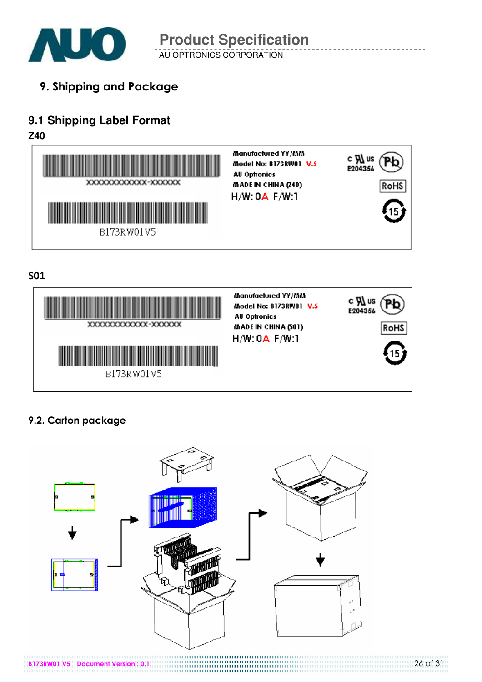

AU OPTRONICS CORPORATION **Product Specification** 

9. Shipping and Package

### **9.1 Shipping Label Format**

**Z40** 



S01



### 9.2. Carton package

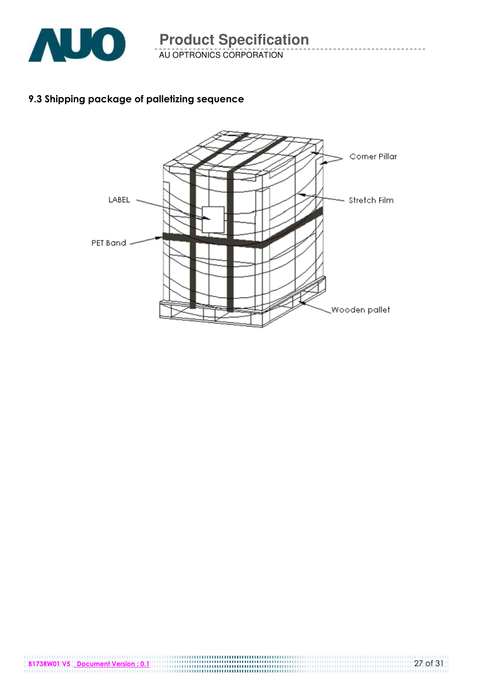

AU OPTRONICS CORPORATION

### 9.3 Shipping package of palletizing sequence



B173RW01 V5 Document Version : 0.1 27 of 31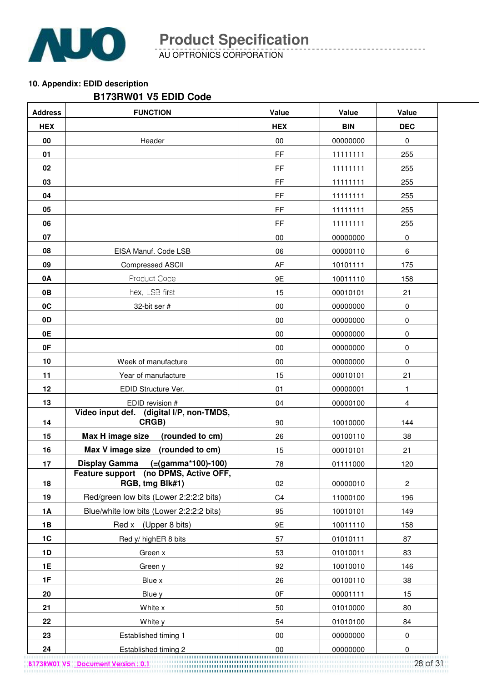

AU OPTRONICS CORPORATION

#### **10. Appendix: EDID description**

#### **B173RW01 V5 EDID Code**

| <b>Address</b> | <b>FUNCTION</b>                                          | Value          | Value      | Value          |
|----------------|----------------------------------------------------------|----------------|------------|----------------|
| <b>HEX</b>     |                                                          | <b>HEX</b>     | <b>BIN</b> | <b>DEC</b>     |
| 00             | Header                                                   | $00\,$         | 00000000   | 0              |
| 01             |                                                          | <b>FF</b>      | 11111111   | 255            |
| 02             |                                                          | <b>FF</b>      | 11111111   | 255            |
| 03             |                                                          | FF             | 11111111   | 255            |
| 04             |                                                          | FF             | 11111111   | 255            |
| 05             |                                                          | FF             | 11111111   | 255            |
| 06             |                                                          | FF.            | 11111111   | 255            |
| 07             |                                                          | $00\,$         | 00000000   | 0              |
| 08             | EISA Manuf. Code LSB                                     | 06             | 00000110   | 6              |
| 09             | <b>Compressed ASCII</b>                                  | AF             | 10101111   | 175            |
| <b>0A</b>      | Product Code                                             | 9E             | 10011110   | 158            |
| 0B             | hex, LSB first                                           | 15             | 00010101   | 21             |
| 0C             | 32-bit ser #                                             | $00\,$         | 00000000   | 0              |
| 0D             |                                                          | $00\,$         | 00000000   | 0              |
| 0E             |                                                          | 00             | 00000000   | $\pmb{0}$      |
| 0F             |                                                          | 00             | 00000000   | $\pmb{0}$      |
| 10             | Week of manufacture                                      | $00\,$         | 00000000   | 0              |
| 11             | Year of manufacture                                      | 15             | 00010101   | 21             |
| 12             | EDID Structure Ver.                                      | 01             | 00000001   | $\mathbf{1}$   |
| 13             | EDID revision #                                          | 04             | 00000100   | $\overline{4}$ |
| 14             | Video input def.<br>(digital I/P, non-TMDS,<br>CRGB)     | 90             | 10010000   | 144            |
| 15             | Max H image size<br>(rounded to cm)                      | 26             | 00100110   | 38             |
| 16             | Max V image size<br>(rounded to cm)                      | 15             | 00010101   | 21             |
| 17             | <b>Display Gamma</b><br>$(=(gamma*100)-100)$             | 78             | 01111000   | 120            |
| 18             | Feature support (no DPMS, Active OFF,<br>RGB, tmg Blk#1) | 02             | 00000010   | 2              |
| 19             | Red/green low bits (Lower 2:2:2:2 bits)                  | C <sub>4</sub> | 11000100   | 196            |
| <b>1A</b>      | Blue/white low bits (Lower 2:2:2:2 bits)                 | 95             | 10010101   | 149            |
| 1B             | Red x (Upper 8 bits)                                     | 9E             | 10011110   | 158            |
| 1C             | Red y/ highER 8 bits                                     | 57             | 01010111   | 87             |
| 1D             | Green x                                                  | 53             | 01010011   | 83             |
| 1E             | Green y                                                  | 92             | 10010010   | 146            |
| 1F             | Blue x                                                   | 26             | 00100110   | 38             |
| 20             | Blue y                                                   | 0F             | 00001111   | 15             |
| 21             | White x                                                  | 50             | 01010000   | 80             |
| 22             | White y                                                  | 54             | 01010100   | 84             |
| 23             | Established timing 1                                     | 00             | 00000000   | 0              |
| 24             | Established timing 2                                     | 00             | 00000000   | 0              |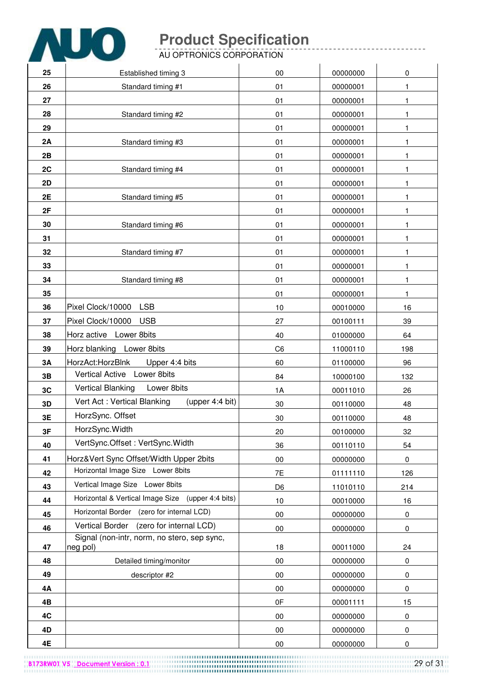

AU OPTRONICS CORPORATION

| 25        | Established timing 3                                    | 00             | 00000000 | 0         |
|-----------|---------------------------------------------------------|----------------|----------|-----------|
| 26        | Standard timing #1                                      | 01             | 00000001 | 1         |
| 27        |                                                         | 01             | 00000001 | 1         |
| 28        | Standard timing #2                                      | 01             | 00000001 | 1         |
| 29        |                                                         | 01             | 00000001 | 1         |
| 2A        | Standard timing #3                                      | 01             | 00000001 | 1         |
| 2B        |                                                         | 01             | 00000001 | 1         |
| 2C        | Standard timing #4                                      | 01             | 00000001 | 1         |
| <b>2D</b> |                                                         | 01             | 00000001 | 1         |
| 2E        | Standard timing #5                                      | 01             | 00000001 | 1         |
| 2F        |                                                         | 01             | 00000001 | 1         |
| 30        | Standard timing #6                                      | 01             | 00000001 | 1         |
| 31        |                                                         | 01             | 00000001 | 1         |
| 32        | Standard timing #7                                      | 01             | 00000001 | 1         |
| 33        |                                                         | 01             | 00000001 | 1         |
| 34        | Standard timing #8                                      | 01             | 00000001 | 1         |
| 35        |                                                         | 01             | 00000001 | 1         |
| 36        | <b>LSB</b><br>Pixel Clock/10000                         | 10             | 00010000 | 16        |
| 37        | Pixel Clock/10000<br><b>USB</b>                         | 27             | 00100111 | 39        |
| 38        | Horz active Lower 8bits                                 | 40             | 01000000 | 64        |
| 39        | Horz blanking Lower 8bits                               | C <sub>6</sub> | 11000110 | 198       |
| 3A        | HorzAct:HorzBlnk<br>Upper 4:4 bits                      | 60             | 01100000 | 96        |
| 3B        | <b>Vertical Active</b><br>Lower 8bits                   | 84             | 10000100 | 132       |
| 3C        | <b>Vertical Blanking</b><br>Lower 8bits                 | 1A             | 00011010 | 26        |
| 3D        | Vert Act: Vertical Blanking<br>(upper $4:4$ bit)        | 30             | 00110000 | 48        |
| 3E        | HorzSync. Offset                                        | 30             | 00110000 | 48        |
| 3F        | HorzSync. Width                                         | 20             | 00100000 | 32        |
| 40        | VertSync.Offset: VertSync.Width                         | 36             | 00110110 | 54        |
| 41        | Horz‖ Sync Offset/Width Upper 2bits                     | $00\,$         | 00000000 | 0         |
| 42        | Horizontal Image Size Lower 8bits                       | 7E             | 01111110 | 126       |
| 43        | Vertical Image Size Lower 8bits                         | D <sub>6</sub> | 11010110 | 214       |
| 44        | Horizontal & Vertical Image Size (upper 4:4 bits)       | 10             | 00010000 | 16        |
| 45        | Horizontal Border<br>(zero for internal LCD)            | $00\,$         | 00000000 | $\pmb{0}$ |
| 46        | <b>Vertical Border</b><br>(zero for internal LCD)       | 00             | 00000000 | 0         |
| 47        | Signal (non-intr, norm, no stero, sep sync,<br>neg pol) | 18             | 00011000 | 24        |
| 48        | Detailed timing/monitor                                 | $00\,$         | 00000000 | 0         |
| 49        | descriptor #2                                           | $00\,$         | 00000000 | $\pmb{0}$ |
| 4Α        |                                                         | $00\,$         | 00000000 | 0         |
| 4B        |                                                         | 0F             | 00001111 | 15        |
| 4C        |                                                         | $00\,$         | 00000000 | 0         |
| 4D        |                                                         | 00             | 00000000 | $\pmb{0}$ |
| 4E        |                                                         | $00\,$         | 00000000 | 0         |

B173RW01 V5 Document Version : 0.1 29 of 31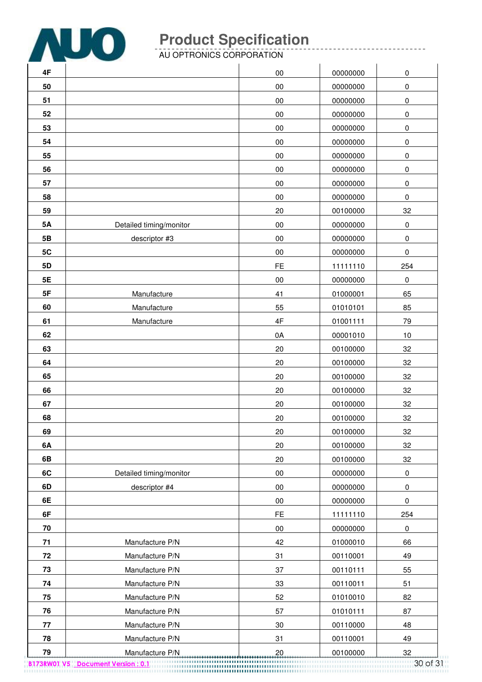

. . . . . . . . . . . . . . .

AU OPTRONICS CORPORATION

| 4F        |                         | 00            | 00000000 | 0         |
|-----------|-------------------------|---------------|----------|-----------|
| 50        |                         | 00            | 00000000 | 0         |
| 51        |                         | $00\,$        | 00000000 | 0         |
| 52        |                         | 00            | 00000000 | 0         |
| 53        |                         | 00            | 00000000 | 0         |
| 54        |                         | $00\,$        | 00000000 | 0         |
| 55        |                         | $00\,$        | 00000000 | 0         |
| 56        |                         | $00\,$        | 00000000 | 0         |
| 57        |                         | $00\,$        | 00000000 | 0         |
| 58        |                         | $00\,$        | 00000000 | 0         |
| 59        |                         | 20            | 00100000 | 32        |
| <b>5A</b> | Detailed timing/monitor | $00\,$        | 00000000 | 0         |
| 5B        | descriptor #3           | 00            | 00000000 | $\pmb{0}$ |
| 5C        |                         | $00\,$        | 00000000 | 0         |
| 5D        |                         | FE            | 11111110 | 254       |
| 5E        |                         | $00\,$        | 00000000 | $\pmb{0}$ |
| 5F        | Manufacture             | 41            | 01000001 | 65        |
| 60        | Manufacture             | 55            | 01010101 | 85        |
| 61        | Manufacture             | $4\mathsf{F}$ | 01001111 | 79        |
| 62        |                         | 0A            | 00001010 | $10$      |
| 63        |                         | 20            | 00100000 | 32        |
| 64        |                         | 20            | 00100000 | 32        |
| 65        |                         | 20            | 00100000 | 32        |
| 66        |                         | 20            | 00100000 | 32        |
| 67        |                         | 20            | 00100000 | 32        |
| 68        |                         | 20            | 00100000 | 32        |
| 69        |                         | 20            | 00100000 | 32        |
| 6A        |                         | 20            | 00100000 | 32        |
| 6B        |                         | 20            | 00100000 | 32        |
| 6C        | Detailed timing/monitor | $00\,$        | 00000000 | $\pmb{0}$ |
| 6D        | descriptor #4           | $00\,$        | 00000000 | $\pmb{0}$ |
| 6E        |                         | $00\,$        | 00000000 | $\pmb{0}$ |
| 6F        |                         | FE            | 11111110 | 254       |
| 70        |                         | $00\,$        | 00000000 | $\pmb{0}$ |
| 71        | Manufacture P/N         | 42            | 01000010 | 66        |
| 72        | Manufacture P/N         | 31            | 00110001 | 49        |
| 73        | Manufacture P/N         | 37            | 00110111 | 55        |
| 74        | Manufacture P/N         | 33            | 00110011 | 51        |
| 75        | Manufacture P/N         | 52            | 01010010 | 82        |
| 76        | Manufacture P/N         | 57            | 01010111 | 87        |
| 77        | Manufacture P/N         | 30            | 00110000 | 48        |
| 78        | Manufacture P/N         | 31            | 00110001 | 49        |
| 79        | Manufacture P/N         | 20            | 00100000 | 32        |